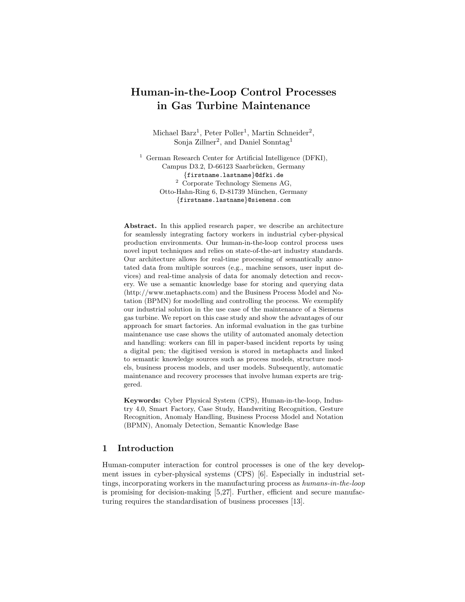# Human-in-the-Loop Control Processes in Gas Turbine Maintenance

Michael Barz<sup>1</sup>, Peter Poller<sup>1</sup>, Martin Schneider<sup>2</sup>, Sonja Zillner<sup>2</sup>, and Daniel Sonntag<sup>1</sup>

<sup>1</sup> German Research Center for Artificial Intelligence (DFKI), Campus D3.2, D-66123 Saarbrücken, Germany *{*firstname.lastname*}*@dfki.de <sup>2</sup> Corporate Technology Siemens AG, Otto-Hahn-Ring 6, D-81739 München, Germany *{*firstname.lastname*}*@siemens.com

Abstract. In this applied research paper, we describe an architecture for seamlessly integrating factory workers in industrial cyber-physical production environments. Our human-in-the-loop control process uses novel input techniques and relies on state-of-the-art industry standards. Our architecture allows for real-time processing of semantically annotated data from multiple sources (e.g., machine sensors, user input devices) and real-time analysis of data for anomaly detection and recovery. We use a semantic knowledge base for storing and querying data (http://www.metaphacts.com) and the Business Process Model and Notation (BPMN) for modelling and controlling the process. We exemplify our industrial solution in the use case of the maintenance of a Siemens gas turbine. We report on this case study and show the advantages of our approach for smart factories. An informal evaluation in the gas turbine maintenance use case shows the utility of automated anomaly detection and handling: workers can fill in paper-based incident reports by using a digital pen; the digitised version is stored in metaphacts and linked to semantic knowledge sources such as process models, structure models, business process models, and user models. Subsequently, automatic maintenance and recovery processes that involve human experts are triggered.

Keywords: Cyber Physical System (CPS), Human-in-the-loop, Industry 4.0, Smart Factory, Case Study, Handwriting Recognition, Gesture Recognition, Anomaly Handling, Business Process Model and Notation (BPMN), Anomaly Detection, Semantic Knowledge Base

## 1 Introduction

Human-computer interaction for control processes is one of the key development issues in cyber-physical systems (CPS) [\[6\]](#page-12-0). Especially in industrial settings, incorporating workers in the manufacturing process as *humans-in-the-loop* is promising for decision-making  $[5,27]$  $[5,27]$ . Further, efficient and secure manufacturing requires the standardisation of business processes [\[13\]](#page-12-2).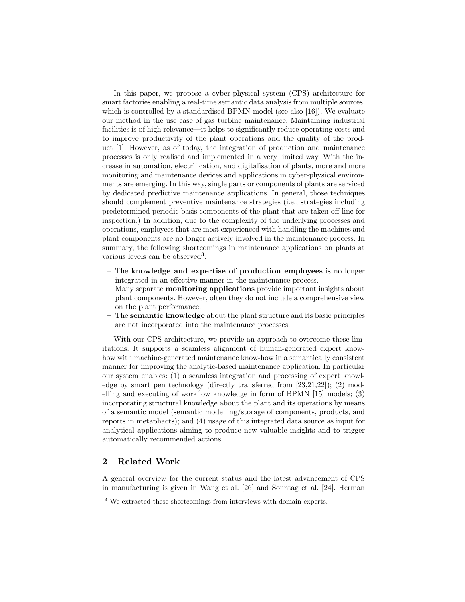In this paper, we propose a cyber-physical system (CPS) architecture for smart factories enabling a real-time semantic data analysis from multiple sources, which is controlled by a standardised BPMN model (see also [\[16\]](#page-12-3)). We evaluate our method in the use case of gas turbine maintenance. Maintaining industrial facilities is of high relevance—it helps to significantly reduce operating costs and to improve productivity of the plant operations and the quality of the product [\[1\]](#page-11-0). However, as of today, the integration of production and maintenance processes is only realised and implemented in a very limited way. With the increase in automation, electrification, and digitalisation of plants, more and more monitoring and maintenance devices and applications in cyber-physical environments are emerging. In this way, single parts or components of plants are serviced by dedicated predictive maintenance applications. In general, those techniques should complement preventive maintenance strategies (i.e., strategies including predetermined periodic basis components of the plant that are taken off-line for inspection.) In addition, due to the complexity of the underlying processes and operations, employees that are most experienced with handling the machines and plant components are no longer actively involved in the maintenance process. In summary, the following shortcomings in maintenance applications on plants at various levels can be observed<sup>[3](#page-1-0)</sup>:

- The knowledge and expertise of production employees is no longer integrated in an effective manner in the maintenance process.
- Many separate monitoring applications provide important insights about plant components. However, often they do not include a comprehensive view on the plant performance.
- The semantic knowledge about the plant structure and its basic principles are not incorporated into the maintenance processes.

With our CPS architecture, we provide an approach to overcome these limitations. It supports a seamless alignment of human-generated expert knowhow with machine-generated maintenance know-how in a semantically consistent manner for improving the analytic-based maintenance application. In particular our system enables: (1) a seamless integration and processing of expert knowledge by smart pen technology (directly transferred from [\[23](#page-13-1)[,21,](#page-13-2)[22\]](#page-13-3)); (2) modelling and executing of workflow knowledge in form of BPMN [\[15\]](#page-12-4) models; (3) incorporating structural knowledge about the plant and its operations by means of a semantic model (semantic modelling/storage of components, products, and reports in metaphacts); and (4) usage of this integrated data source as input for analytical applications aiming to produce new valuable insights and to trigger automatically recommended actions.

# 2 Related Work

A general overview for the current status and the latest advancement of CPS in manufacturing is given in Wang et al. [\[26\]](#page-13-4) and Sonntag et al. [\[24\]](#page-13-5). Herman

<span id="page-1-0"></span><sup>&</sup>lt;sup>3</sup> We extracted these shortcomings from interviews with domain experts.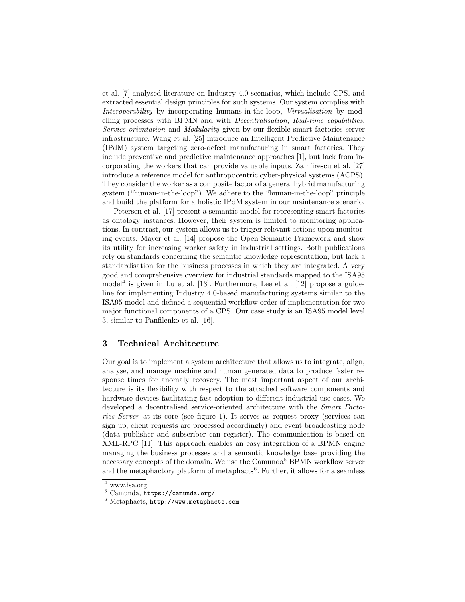et al. [\[7\]](#page-12-5) analysed literature on Industry 4.0 scenarios, which include CPS, and extracted essential design principles for such systems. Our system complies with *Interoperability* by incorporating humans-in-the-loop, *Virtualisation* by modelling processes with BPMN and with *Decentralisation*, *Real-time capabilities*, *Service orientation* and *Modularity* given by our flexible smart factories server infrastructure. Wang et al. [\[25\]](#page-13-6) introduce an Intelligent Predictive Maintenance (IPdM) system targeting zero-defect manufacturing in smart factories. They include preventive and predictive maintenance approaches [\[1\]](#page-11-0), but lack from incorporating the workers that can provide valuable inputs. Zamfirescu et al. [\[27\]](#page-13-0) introduce a reference model for anthropocentric cyber-physical systems (ACPS). They consider the worker as a composite factor of a general hybrid manufacturing system ("human-in-the-loop"). We adhere to the "human-in-the-loop" principle and build the platform for a holistic IPdM system in our maintenance scenario.

Petersen et al. [\[17\]](#page-12-6) present a semantic model for representing smart factories as ontology instances. However, their system is limited to monitoring applications. In contrast, our system allows us to trigger relevant actions upon monitoring events. Mayer et al. [\[14\]](#page-12-7) propose the Open Semantic Framework and show its utility for increasing worker safety in industrial settings. Both publications rely on standards concerning the semantic knowledge representation, but lack a standardisation for the business processes in which they are integrated. A very good and comprehensive overview for industrial standards mapped to the ISA95 model<sup>[4](#page-2-0)</sup> is given in Lu et al. [\[13\]](#page-12-2). Furthermore, Lee et al. [\[12\]](#page-12-8) propose a guideline for implementing Industry 4.0-based manufacturing systems similar to the ISA95 model and defined a sequential workflow order of implementation for two major functional components of a CPS. Our case study is an ISA95 model level 3, similar to Panfilenko et al. [\[16\]](#page-12-3).

## 3 Technical Architecture

Our goal is to implement a system architecture that allows us to integrate, align, analyse, and manage machine and human generated data to produce faster response times for anomaly recovery. The most important aspect of our architecture is its flexibility with respect to the attached software components and hardware devices facilitating fast adoption to different industrial use cases. We developed a decentralised service-oriented architecture with the *Smart Factories Server* at its core (see figure [1\)](#page-3-0). It serves as request proxy (services can sign up; client requests are processed accordingly) and event broadcasting node (data publisher and subscriber can register). The communication is based on XML-RPC [\[11\]](#page-12-9). This approach enables an easy integration of a BPMN engine managing the business processes and a semantic knowledge base providing the necessary concepts of the domain. We use the Camunda<sup>[5](#page-2-1)</sup> BPMN workflow server and the metaphactory platform of metaphacts<sup>[6](#page-2-2)</sup>. Further, it allows for a seamless

<span id="page-2-0"></span><sup>4</sup> www.isa.org

<span id="page-2-1"></span><sup>5</sup> Camunda, <https://camunda.org/>

<span id="page-2-2"></span><sup>6</sup> Metaphacts, <http://www.metaphacts.com>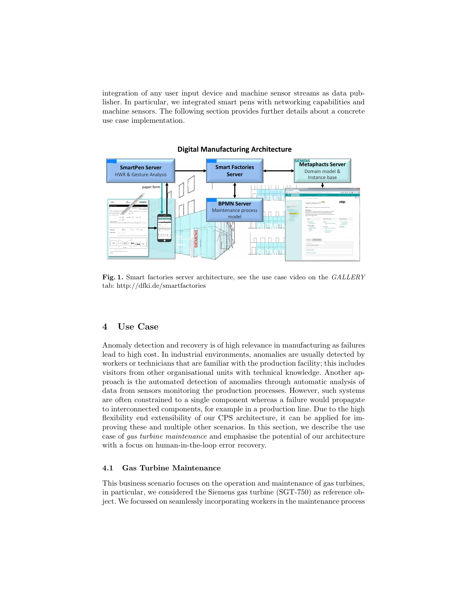integration of any user input device and machine sensor streams as data publisher. In particular, we integrated smart pens with networking capabilities and machine sensors. The following section provides further details about a concrete use case implementation.



**Digital Manufacturing Architecture**

<span id="page-3-0"></span>Fig. 1. Smart factories server architecture, see the use case video on the *GALLERY* tab: http://dfki.de/smartfactories

## 4 Use Case

Anomaly detection and recovery is of high relevance in manufacturing as failures lead to high cost. In industrial environments, anomalies are usually detected by workers or technicians that are familiar with the production facility; this includes visitors from other organisational units with technical knowledge. Another approach is the automated detection of anomalies through automatic analysis of data from sensors monitoring the production processes. However, such systems are often constrained to a single component whereas a failure would propagate to interconnected components, for example in a production line. Due to the high flexibility end extensibility of our CPS architecture, it can be applied for improving these and multiple other scenarios. In this section, we describe the use case of *gas turbine maintenance* and emphasise the potential of our architecture with a focus on human-in-the-loop error recovery.

## 4.1 Gas Turbine Maintenance

This business scenario focuses on the operation and maintenance of gas turbines, in particular, we considered the Siemens gas turbine (SGT-750) as reference object. We focussed on seamlessly incorporating workers in the maintenance process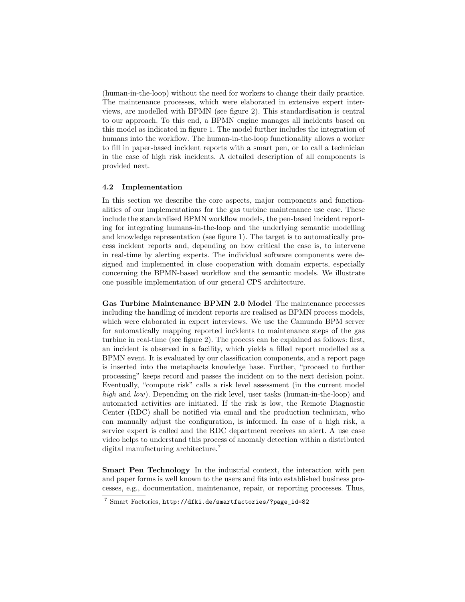(human-in-the-loop) without the need for workers to change their daily practice. The maintenance processes, which were elaborated in extensive expert interviews, are modelled with BPMN (see figure [2\)](#page-5-0). This standardisation is central to our approach. To this end, a BPMN engine manages all incidents based on this model as indicated in figure [1.](#page-3-0) The model further includes the integration of humans into the workflow. The human-in-the-loop functionality allows a worker to fill in paper-based incident reports with a smart pen, or to call a technician in the case of high risk incidents. A detailed description of all components is provided next.

#### 4.2 Implementation

In this section we describe the core aspects, major components and functionalities of our implementations for the gas turbine maintenance use case. These include the standardised BPMN workflow models, the pen-based incident reporting for integrating humans-in-the-loop and the underlying semantic modelling and knowledge representation (see figure [1\)](#page-3-0). The target is to automatically process incident reports and, depending on how critical the case is, to intervene in real-time by alerting experts. The individual software components were designed and implemented in close cooperation with domain experts, especially concerning the BPMN-based workflow and the semantic models. We illustrate one possible implementation of our general CPS architecture.

Gas Turbine Maintenance BPMN 2.0 Model The maintenance processes including the handling of incident reports are realised as BPMN process models, which were elaborated in expert interviews. We use the Camunda BPM server for automatically mapping reported incidents to maintenance steps of the gas turbine in real-time (see figure [2\)](#page-5-0). The process can be explained as follows: first, an incident is observed in a facility, which yields a filled report modelled as a BPMN event. It is evaluated by our classification components, and a report page is inserted into the metaphacts knowledge base. Further, "proceed to further processing" keeps record and passes the incident on to the next decision point. Eventually, "compute risk" calls a risk level assessment (in the current model *high* and *low*). Depending on the risk level, user tasks (human-in-the-loop) and automated activities are initiated. If the risk is low, the Remote Diagnostic Center (RDC) shall be notified via email and the production technician, who can manually adjust the configuration, is informed. In case of a high risk, a service expert is called and the RDC department receives an alert. A use case video helps to understand this process of anomaly detection within a distributed digital manufacturing architecture.<sup>[7](#page-4-0)</sup>

Smart Pen Technology In the industrial context, the interaction with pen and paper forms is well known to the users and fits into established business processes, e.g., documentation, maintenance, repair, or reporting processes. Thus,

<span id="page-4-0"></span><sup>7</sup> Smart Factories, [http://dfki.de/smartfactories/?page\\_id=82](http://dfki.de/smartfactories/?page_id=82)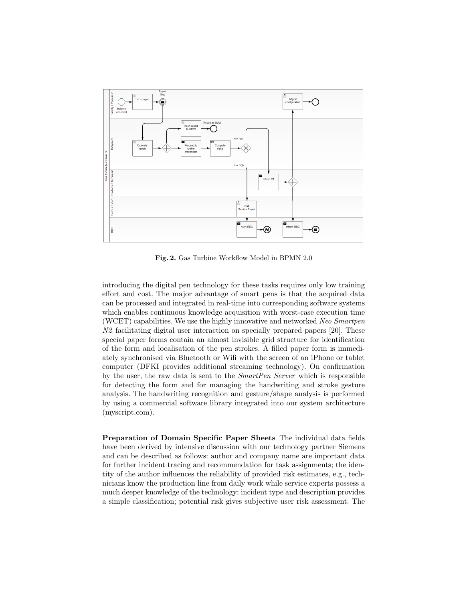

<span id="page-5-0"></span>Fig. 2. Gas Turbine Workflow Model in BPMN 2.0

introducing the digital pen technology for these tasks requires only low training effort and cost. The major advantage of smart pens is that the acquired data can be processed and integrated in real-time into corresponding software systems which enables continuous knowledge acquisition with worst-case execution time (WCET) capabilities. We use the highly innovative and networked *Neo Smartpen N2* facilitating digital user interaction on specially prepared papers [\[20\]](#page-13-7). These special paper forms contain an almost invisible grid structure for identification of the form and localisation of the pen strokes. A filled paper form is immediately synchronised via Bluetooth or Wifi with the screen of an iPhone or tablet computer (DFKI provides additional streaming technology). On confirmation by the user, the raw data is sent to the *SmartPen Server* which is responsible for detecting the form and for managing the handwriting and stroke gesture analysis. The handwriting recognition and gesture/shape analysis is performed by using a commercial software library integrated into our system architecture (myscript.com).

Preparation of Domain Specific Paper Sheets The individual data fields have been derived by intensive discussion with our technology partner Siemens and can be described as follows: author and company name are important data for further incident tracing and recommendation for task assignments; the identity of the author influences the reliability of provided risk estimates, e.g., technicians know the production line from daily work while service experts possess a much deeper knowledge of the technology; incident type and description provides a simple classification; potential risk gives subjective user risk assessment. The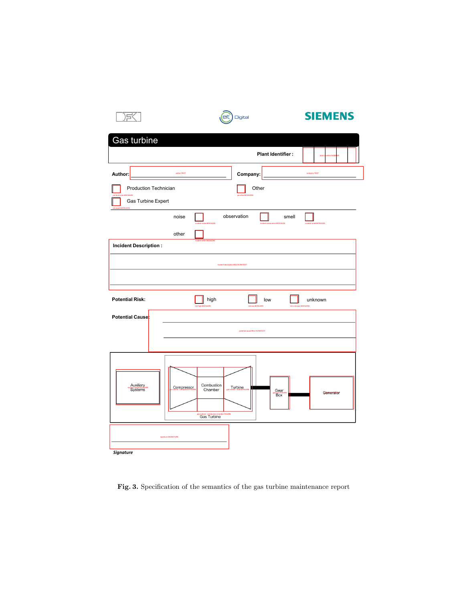|                                                                      | <b>Digital</b>                                                                                   | <b>SIEMENS</b>       |
|----------------------------------------------------------------------|--------------------------------------------------------------------------------------------------|----------------------|
| Gas turbine                                                          |                                                                                                  |                      |
|                                                                      | Plant Identifier:                                                                                | <b>ENUM</b>          |
| Author:                                                              | author:TEXT<br>Company:                                                                          | company:TEXT         |
| <b>Production Technician</b><br><b>BOOLEAN</b><br>Gas Turbine Expert | Other<br>ids-other:BOOLEAN                                                                       |                      |
|                                                                      | observation<br>noise<br>smell<br><b>BOOLFAN</b><br>BOOLEAN                                       | <b>Samel:BOOLEAN</b> |
|                                                                      | other                                                                                            |                      |
| <b>Incident Description:</b>                                         |                                                                                                  |                      |
|                                                                      | incident-description MULTILINETEXT                                                               |                      |
|                                                                      |                                                                                                  |                      |
| <b>Potential Risk:</b>                                               | high<br>low<br><b>CH BOOLEAN</b><br>risk-low BOOLEAN                                             | unknown<br>LEAN      |
| <b>Potential Cause</b>                                               |                                                                                                  |                      |
|                                                                      | potential-cause MULTILINETEXT                                                                    |                      |
|                                                                      |                                                                                                  |                      |
| Auxiliary<br>Systems                                                 | Combustion<br>Compressor<br>Turbine<br>Chamber<br>Gear<br><b>Box</b><br>er:FIGURE<br>Gas Turbine | Generator            |
|                                                                      | signature:SIGNATURE                                                                              |                      |
| <b>Signature</b>                                                     |                                                                                                  |                      |

<span id="page-6-0"></span>Fig. 3. Specification of the semantics of the gas turbine maintenance report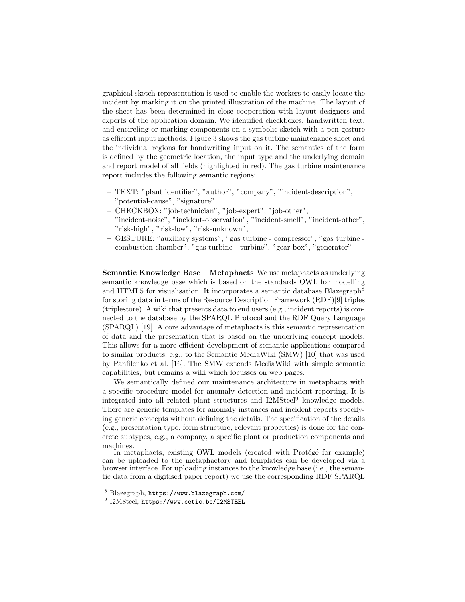graphical sketch representation is used to enable the workers to easily locate the incident by marking it on the printed illustration of the machine. The layout of the sheet has been determined in close cooperation with layout designers and experts of the application domain. We identified checkboxes, handwritten text, and encircling or marking components on a symbolic sketch with a pen gesture as efficient input methods. Figure [3](#page-6-0) shows the gas turbine maintenance sheet and the individual regions for handwriting input on it. The semantics of the form is defined by the geometric location, the input type and the underlying domain and report model of all fields (highlighted in red). The gas turbine maintenance report includes the following semantic regions:

- TEXT: "plant identifier", "author", "company", "incident-description", "potential-cause", "signature"
- CHECKBOX: "job-technician", "job-expert", "job-other",
- "incident-noise", "incident-observation", "incident-smell", "incident-other", "risk-high", "risk-low", "risk-unknown",
- GESTURE: "auxiliary systems", "gas turbine compressor", "gas turbine combustion chamber", "gas turbine - turbine", "gear box", "generator"

Semantic Knowledge Base—Metaphacts We use metaphacts as underlying semantic knowledge base which is based on the standards OWL for modelling and HTML5 for visualisation. It incorporates a semantic database Blazegraph<sup>[8](#page-7-0)</sup> for storing data in terms of the Resource Description Framework (RDF)[\[9\]](#page-12-10) triples (triplestore). A wiki that presents data to end users (e.g., incident reports) is connected to the database by the SPARQL Protocol and the RDF Query Language (SPARQL) [\[19\]](#page-13-8). A core advantage of metaphacts is this semantic representation of data and the presentation that is based on the underlying concept models. This allows for a more efficient development of semantic applications compared to similar products, e.g., to the Semantic MediaWiki (SMW) [\[10\]](#page-12-11) that was used by Panfilenko et al. [\[16\]](#page-12-3). The SMW extends MediaWiki with simple semantic capabilities, but remains a wiki which focusses on web pages.

We semantically defined our maintenance architecture in metaphacts with a specific procedure model for anomaly detection and incident reporting. It is integrated into all related plant structures and I2MSteel<sup>[9](#page-7-1)</sup> knowledge models. There are generic templates for anomaly instances and incident reports specifying generic concepts without defining the details. The specification of the details (e.g., presentation type, form structure, relevant properties) is done for the concrete subtypes, e.g., a company, a specific plant or production components and machines.

In metaphacts, existing OWL models (created with Protégé for example) can be uploaded to the metaphactory and templates can be developed via a browser interface. For uploading instances to the knowledge base (i.e., the semantic data from a digitised paper report) we use the corresponding RDF SPARQL

<span id="page-7-0"></span><sup>8</sup> Blazegraph, <https://www.blazegraph.com/>

<span id="page-7-1"></span><sup>9</sup> I2MSteel, <https://www.cetic.be/I2MSTEEL>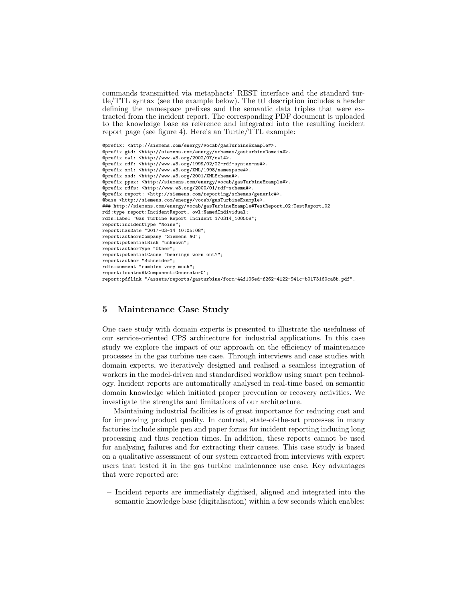commands transmitted via metaphacts' REST interface and the standard turtle/TTL syntax (see the example below). The ttl description includes a header defining the namespace prefixes and the semantic data triples that were extracted from the incident report. The corresponding PDF document is uploaded to the knowledge base as reference and integrated into the resulting incident report page (see figure [4\)](#page-9-0). Here's an Turtle/TTL example:

```
@prefix: <http://siemens.com/energy/vocab/gasTurbineExample#>.
@prefix gtd: <http://siemens.com/energy/schemas/gasturbineDomain#>.
@prefix owl: <http://www.w3.org/2002/07/owl#>.
@prefix rdf: <http://www.w3.org/1999/02/22-rdf-syntax-ns#>.
@prefix xml: <http://www.w3.org/XML/1998/namespace#>.
@prefix xsd: <http://www.w3.org/2001/XMLSchema#>.
@prefix ppex: <http://siemens.com/energy/vocab/gasTurbineExample#>.
@prefix rdfs: <http://www.w3.org/2000/01/rdf-schema#>.
@prefix report: <http://siemens.com/reporting/schemas/generic#>.
@base <http://siemens.com/energy/vocab/gasTurbineExample>.
### http://siemens.com/energy/vocab/gasTurbineExample#TestReport_02:TestReport_02
rdf:type report:IncidentReport, owl:NamedIndividual;
rdfs:label "Gas Turbine Report Incident 170314_100508";
report:incidentType "Noise";
report:hasDate "2017-03-14 10:05:08";
report:authorsCompany "Siemens AG";
report:potentialRisk "unknown";
report:authorType "Other";
report:potentialCause "bearings worn out?";
report:author "Schneider";
rdfs:comment "rumbles very much";
report:locatedAtComponent:Generator01;
report:pdflink "/assets/reports/gasturbine/form-44f106ed-f262-4122-941c-b0173160ca8b.pdf".
```
# 5 Maintenance Case Study

One case study with domain experts is presented to illustrate the usefulness of our service-oriented CPS architecture for industrial applications. In this case study we explore the impact of our approach on the efficiency of maintenance processes in the gas turbine use case. Through interviews and case studies with domain experts, we iteratively designed and realised a seamless integration of workers in the model-driven and standardised workflow using smart pen technology. Incident reports are automatically analysed in real-time based on semantic domain knowledge which initiated proper prevention or recovery activities. We investigate the strengths and limitations of our architecture.

Maintaining industrial facilities is of great importance for reducing cost and for improving product quality. In contrast, state-of-the-art processes in many factories include simple pen and paper forms for incident reporting inducing long processing and thus reaction times. In addition, these reports cannot be used for analysing failures and for extracting their causes. This case study is based on a qualitative assessment of our system extracted from interviews with expert users that tested it in the gas turbine maintenance use case. Key advantages that were reported are:

– Incident reports are immediately digitised, aligned and integrated into the semantic knowledge base (digitalisation) within a few seconds which enables: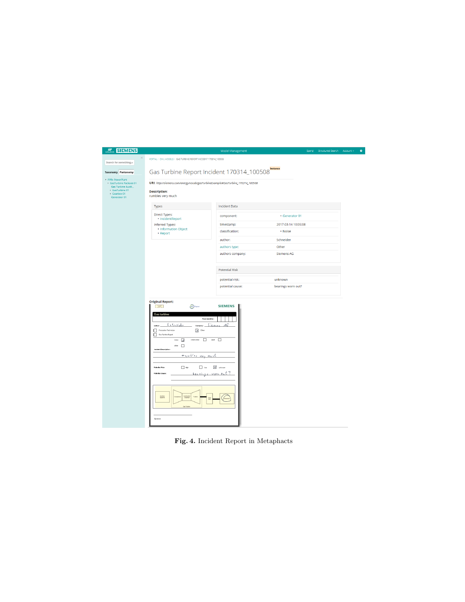| <b>SIEMENS</b>                                                                                                            |                                                                                                                                                                                                                                                                                                                                                                                                                                                                                                | Model Management                    | Structured Search Account +<br>Sparql | $\bullet$ |  |  |
|---------------------------------------------------------------------------------------------------------------------------|------------------------------------------------------------------------------------------------------------------------------------------------------------------------------------------------------------------------------------------------------------------------------------------------------------------------------------------------------------------------------------------------------------------------------------------------------------------------------------------------|-------------------------------------|---------------------------------------|-----------|--|--|
| Search for something.w                                                                                                    | PORTAL / OWL MODELS / GAS TURBINE REPORT INCIDENT 170314_100508                                                                                                                                                                                                                                                                                                                                                                                                                                |                                     |                                       |           |  |  |
| <b>Taxonomy Partonomy</b>                                                                                                 | Instance<br>Gas Turbine Report Incident 170314_100508                                                                                                                                                                                                                                                                                                                                                                                                                                          |                                     |                                       |           |  |  |
| • PPEx PowerPlant<br>GasTurbine Package 01<br>Gas Turbine Auxili<br>• GasTurbine 01<br>$\cdot$ Gearbox 01<br>Generator 01 | URI: http://siemens.com/energy/vocab/gasTurbineExample#GasTurbine_170314_100508                                                                                                                                                                                                                                                                                                                                                                                                                |                                     |                                       |           |  |  |
|                                                                                                                           | <b>Description:</b><br>rumbles very much                                                                                                                                                                                                                                                                                                                                                                                                                                                       |                                     |                                       |           |  |  |
|                                                                                                                           | Types                                                                                                                                                                                                                                                                                                                                                                                                                                                                                          | <b>Incident Data</b>                |                                       |           |  |  |
|                                                                                                                           | <b>Direct Types:</b><br>· IncidentReport                                                                                                                                                                                                                                                                                                                                                                                                                                                       | component:                          | · Generator 01                        |           |  |  |
|                                                                                                                           | Inferred Types:                                                                                                                                                                                                                                                                                                                                                                                                                                                                                | timestamp:                          | 2017-03-14 10:05:08                   |           |  |  |
|                                                                                                                           | · Information Object<br>· Report                                                                                                                                                                                                                                                                                                                                                                                                                                                               | classification:                     | • Noise                               |           |  |  |
|                                                                                                                           |                                                                                                                                                                                                                                                                                                                                                                                                                                                                                                | author:                             | Schneider                             |           |  |  |
|                                                                                                                           |                                                                                                                                                                                                                                                                                                                                                                                                                                                                                                | authors type:                       | Other                                 |           |  |  |
|                                                                                                                           |                                                                                                                                                                                                                                                                                                                                                                                                                                                                                                | authors company:                    | <b>Siemens AG</b>                     |           |  |  |
|                                                                                                                           |                                                                                                                                                                                                                                                                                                                                                                                                                                                                                                | <b>Potential Risk</b>               |                                       |           |  |  |
|                                                                                                                           |                                                                                                                                                                                                                                                                                                                                                                                                                                                                                                |                                     |                                       |           |  |  |
|                                                                                                                           |                                                                                                                                                                                                                                                                                                                                                                                                                                                                                                | potential risk:<br>potential cause: | unknown<br>bearings worn out?         |           |  |  |
|                                                                                                                           |                                                                                                                                                                                                                                                                                                                                                                                                                                                                                                |                                     |                                       |           |  |  |
|                                                                                                                           | <b>Original Report:</b><br><b>SIEMENS</b><br>$\rightarrow$<br>$\odot$ Datai<br>Gas turbine<br>Plant Identifier:<br>Subneider<br>$S.$ <i>eno</i> s<br>Company:<br>Andrew<br>$X^{\text{one}}$<br>Production Technician<br>Gas Turbine Expert<br>$\Box$<br>□<br>$_{\rm{crred}}$<br>roise<br>⊠<br>observation<br>other <sub>1</sub><br>Incident Decoription :<br>Tymbles very mach<br>X univown<br>$\square$ to<br>$\Box$ high<br>Potential Rick:<br>$over$ $\sigma$<br>Potential Cause:<br>eis ca |                                     |                                       |           |  |  |
|                                                                                                                           | Gen Turb<br>Senator                                                                                                                                                                                                                                                                                                                                                                                                                                                                            |                                     |                                       |           |  |  |

<span id="page-9-0"></span>Fig. 4. Incident Report in Metaphacts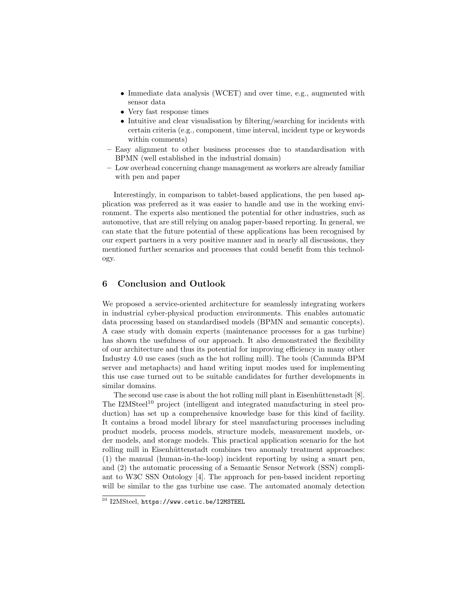- *•* Immediate data analysis (WCET) and over time, e.g., augmented with sensor data
- *•* Very fast response times
- *•* Intuitive and clear visualisation by filtering/searching for incidents with certain criteria (e.g., component, time interval, incident type or keywords within comments)
- Easy alignment to other business processes due to standardisation with BPMN (well established in the industrial domain)
- Low overhead concerning change management as workers are already familiar with pen and paper

Interestingly, in comparison to tablet-based applications, the pen based application was preferred as it was easier to handle and use in the working environment. The experts also mentioned the potential for other industries, such as automotive, that are still relying on analog paper-based reporting. In general, we can state that the future potential of these applications has been recognised by our expert partners in a very positive manner and in nearly all discussions, they mentioned further scenarios and processes that could benefit from this technology.

# 6 Conclusion and Outlook

We proposed a service-oriented architecture for seamlessly integrating workers in industrial cyber-physical production environments. This enables automatic data processing based on standardised models (BPMN and semantic concepts). A case study with domain experts (maintenance processes for a gas turbine) has shown the usefulness of our approach. It also demonstrated the flexibility of our architecture and thus its potential for improving eciency in many other Industry 4.0 use cases (such as the hot rolling mill). The tools (Camunda BPM server and metaphacts) and hand writing input modes used for implementing this use case turned out to be suitable candidates for further developments in similar domains.

The second use case is about the hot rolling mill plant in Eisenhüttenstadt [\[8\]](#page-12-12). The  $12M\text{Steel}^{10}$  $12M\text{Steel}^{10}$  $12M\text{Steel}^{10}$  project (intelligent and integrated manufacturing in steel production) has set up a comprehensive knowledge base for this kind of facility. It contains a broad model library for steel manufacturing processes including product models, process models, structure models, measurement models, order models, and storage models. This practical application scenario for the hot rolling mill in Eisenhüttenstadt combines two anomaly treatment approaches: (1) the manual (human-in-the-loop) incident reporting by using a smart pen, and (2) the automatic processing of a Semantic Sensor Network (SSN) compliant to W3C SSN Ontology [\[4\]](#page-11-1). The approach for pen-based incident reporting will be similar to the gas turbine use case. The automated anomaly detection

<span id="page-10-0"></span> $10$  I2MSteel, <https://www.cetic.be/I2MSTEEL>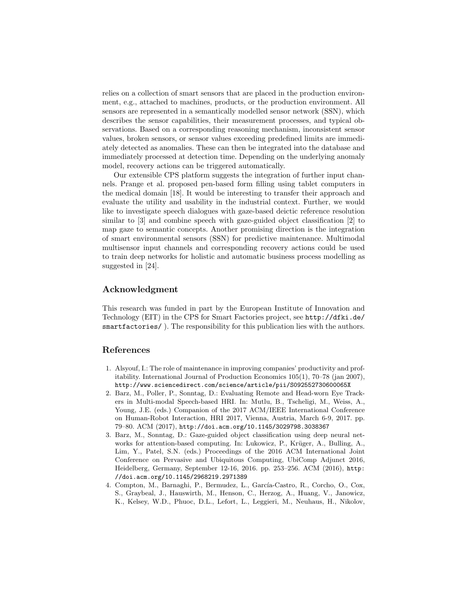relies on a collection of smart sensors that are placed in the production environment, e.g., attached to machines, products, or the production environment. All sensors are represented in a semantically modelled sensor network (SSN), which describes the sensor capabilities, their measurement processes, and typical observations. Based on a corresponding reasoning mechanism, inconsistent sensor values, broken sensors, or sensor values exceeding predefined limits are immediately detected as anomalies. These can then be integrated into the database and immediately processed at detection time. Depending on the underlying anomaly model, recovery actions can be triggered automatically.

Our extensible CPS platform suggests the integration of further input channels. Prange et al. proposed pen-based form filling using tablet computers in the medical domain [\[18\]](#page-12-13). It would be interesting to transfer their approach and evaluate the utility and usability in the industrial context. Further, we would like to investigate speech dialogues with gaze-based deictic reference resolution similar to [\[3\]](#page-11-2) and combine speech with gaze-guided object classification [\[2\]](#page-11-3) to map gaze to semantic concepts. Another promising direction is the integration of smart environmental sensors (SSN) for predictive maintenance. Multimodal multisensor input channels and corresponding recovery actions could be used to train deep networks for holistic and automatic business process modelling as suggested in [\[24\]](#page-13-5).

## Acknowledgment

This research was funded in part by the European Institute of Innovation and Technology (EIT) in the CPS for Smart Factories project, see [http://dfki.de/](http://dfki.de/smartfactories/) [smartfactories/](http://dfki.de/smartfactories/) ). The responsibility for this publication lies with the authors.

## References

- <span id="page-11-0"></span>1. Alsyouf, I.: The role of maintenance in improving companies' productivity and profitability. International Journal of Production Economics 105(1), 70–78 (jan 2007), <http://www.sciencedirect.com/science/article/pii/S092552730600065X>
- <span id="page-11-3"></span>2. Barz, M., Poller, P., Sonntag, D.: Evaluating Remote and Head-worn Eye Trackers in Multi-modal Speech-based HRI. In: Mutlu, B., Tscheligi, M., Weiss, A., Young, J.E. (eds.) Companion of the 2017 ACM/IEEE International Conference on Human-Robot Interaction, HRI 2017, Vienna, Austria, March 6-9, 2017. pp. 79–80. ACM (2017), <http://doi.acm.org/10.1145/3029798.3038367>
- <span id="page-11-2"></span>3. Barz, M., Sonntag, D.: Gaze-guided object classification using deep neural networks for attention-based computing. In: Lukowicz, P., Krüger, A., Bulling, A., Lim, Y., Patel, S.N. (eds.) Proceedings of the 2016 ACM International Joint Conference on Pervasive and Ubiquitous Computing, UbiComp Adjunct 2016, Heidelberg, Germany, September 12-16, 2016. pp. 253–256. ACM (2016), [http:](http://doi.acm.org/10.1145/2968219.2971389) [//doi.acm.org/10.1145/2968219.2971389](http://doi.acm.org/10.1145/2968219.2971389)
- <span id="page-11-1"></span>4. Compton, M., Barnaghi, P., Bermudez, L., García-Castro, R., Corcho, O., Cox, S., Graybeal, J., Hauswirth, M., Henson, C., Herzog, A., Huang, V., Janowicz, K., Kelsey, W.D., Phuoc, D.L., Lefort, L., Leggieri, M., Neuhaus, H., Nikolov,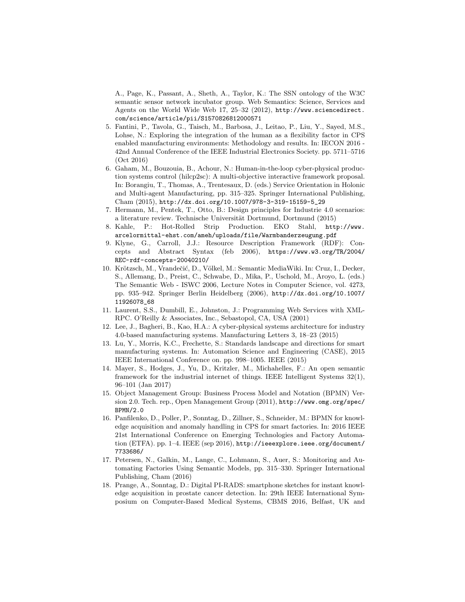A., Page, K., Passant, A., Sheth, A., Taylor, K.: The SSN ontology of the W3C semantic sensor network incubator group. Web Semantics: Science, Services and Agents on the World Wide Web 17, 25–32 (2012), [http://www.sciencedirect.](http://www.sciencedirect.com/science/article/pii/S1570826812000571) [com/science/article/pii/S1570826812000571](http://www.sciencedirect.com/science/article/pii/S1570826812000571)

- <span id="page-12-1"></span>5. Fantini, P., Tavola, G., Taisch, M., Barbosa, J., Leitao, P., Liu, Y., Sayed, M.S., Lohse, N.: Exploring the integration of the human as a flexibility factor in CPS enabled manufacturing environments: Methodology and results. In: IECON 2016 - 42nd Annual Conference of the IEEE Industrial Electronics Society. pp. 5711–5716 (Oct 2016)
- <span id="page-12-0"></span>6. Gaham, M., Bouzouia, B., Achour, N.: Human-in-the-loop cyber-physical production systems control (hilcp2sc): A multi-objective interactive framework proposal. In: Borangiu, T., Thomas, A., Trentesaux, D. (eds.) Service Orientation in Holonic and Multi-agent Manufacturing, pp. 315–325. Springer International Publishing, Cham (2015), [http://dx.doi.org/10.1007/978-3-319-15159-5\\_29](http://dx.doi.org/10.1007/978-3-319-15159-5_29)
- <span id="page-12-5"></span>7. Hermann, M., Pentek, T., Otto, B.: Design principles for Industrie 4.0 scenarios: a literature review. Technische Universität Dortmund, Dortmund (2015)
- <span id="page-12-12"></span>8. Kahle, P.: Hot-Rolled Strip Production. EKO Stahl, [http://www.](http://www.arcelormittal-ehst.com/ameh/uploads/file/Warmbanderzeugung.pdf) [arcelormittal-ehst.com/ameh/uploads/file/Warmbanderzeugung.pdf](http://www.arcelormittal-ehst.com/ameh/uploads/file/Warmbanderzeugung.pdf)
- <span id="page-12-10"></span>9. Klyne, G., Carroll, J.J.: Resource Description Framework (RDF): Concepts and Abstract Syntax (feb 2006), [https://www.w3.org/TR/2004/](https://www.w3.org/TR/2004/REC-rdf-concepts-20040210/) [REC-rdf-concepts-20040210/](https://www.w3.org/TR/2004/REC-rdf-concepts-20040210/)
- <span id="page-12-11"></span>10. Krötzsch, M., Vrandečić, D., Völkel, M.: Semantic MediaWiki. In: Cruz, I., Decker, S., Allemang, D., Preist, C., Schwabe, D., Mika, P., Uschold, M., Aroyo, L. (eds.) The Semantic Web - ISWC 2006, Lecture Notes in Computer Science, vol. 4273, pp. 935–942. Springer Berlin Heidelberg (2006), [http://dx.doi.org/10.1007/](http://dx.doi.org/10.1007/11926078_68) [11926078\\_68](http://dx.doi.org/10.1007/11926078_68)
- <span id="page-12-9"></span>11. Laurent, S.S., Dumbill, E., Johnston, J.: Programming Web Services with XML-RPC. O'Reilly & Associates, Inc., Sebastopol, CA, USA (2001)
- <span id="page-12-8"></span>12. Lee, J., Bagheri, B., Kao, H.A.: A cyber-physical systems architecture for industry 4.0-based manufacturing systems. Manufacturing Letters 3, 18–23 (2015)
- <span id="page-12-2"></span>13. Lu, Y., Morris, K.C., Frechette, S.: Standards landscape and directions for smart manufacturing systems. In: Automation Science and Engineering (CASE), 2015 IEEE International Conference on. pp. 998–1005. IEEE (2015)
- <span id="page-12-7"></span>14. Mayer, S., Hodges, J., Yu, D., Kritzler, M., Michahelles, F.: An open semantic framework for the industrial internet of things. IEEE Intelligent Systems 32(1), 96–101 (Jan 2017)
- <span id="page-12-4"></span>15. Object Management Group: Business Process Model and Notation (BPMN) Version 2.0. Tech. rep., Open Management Group (2011), [http://www.omg.org/spec/](http://www.omg.org/spec/BPMN/2.0) [BPMN/2.0](http://www.omg.org/spec/BPMN/2.0)
- <span id="page-12-3"></span>16. Panfilenko, D., Poller, P., Sonntag, D., Zillner, S., Schneider, M.: BPMN for knowledge acquisition and anomaly handling in CPS for smart factories. In: 2016 IEEE 21st International Conference on Emerging Technologies and Factory Automation (ETFA). pp. 1-4. IEEE (sep 2016), [http://ieeexplore.ieee.org/document/](http://ieeexplore.ieee.org/document/7733686/) [7733686/](http://ieeexplore.ieee.org/document/7733686/)
- <span id="page-12-6"></span>17. Petersen, N., Galkin, M., Lange, C., Lohmann, S., Auer, S.: Monitoring and Automating Factories Using Semantic Models, pp. 315–330. Springer International Publishing, Cham (2016)
- <span id="page-12-13"></span>18. Prange, A., Sonntag, D.: Digital PI-RADS: smartphone sketches for instant knowledge acquisition in prostate cancer detection. In: 29th IEEE International Symposium on Computer-Based Medical Systems, CBMS 2016, Belfast, UK and